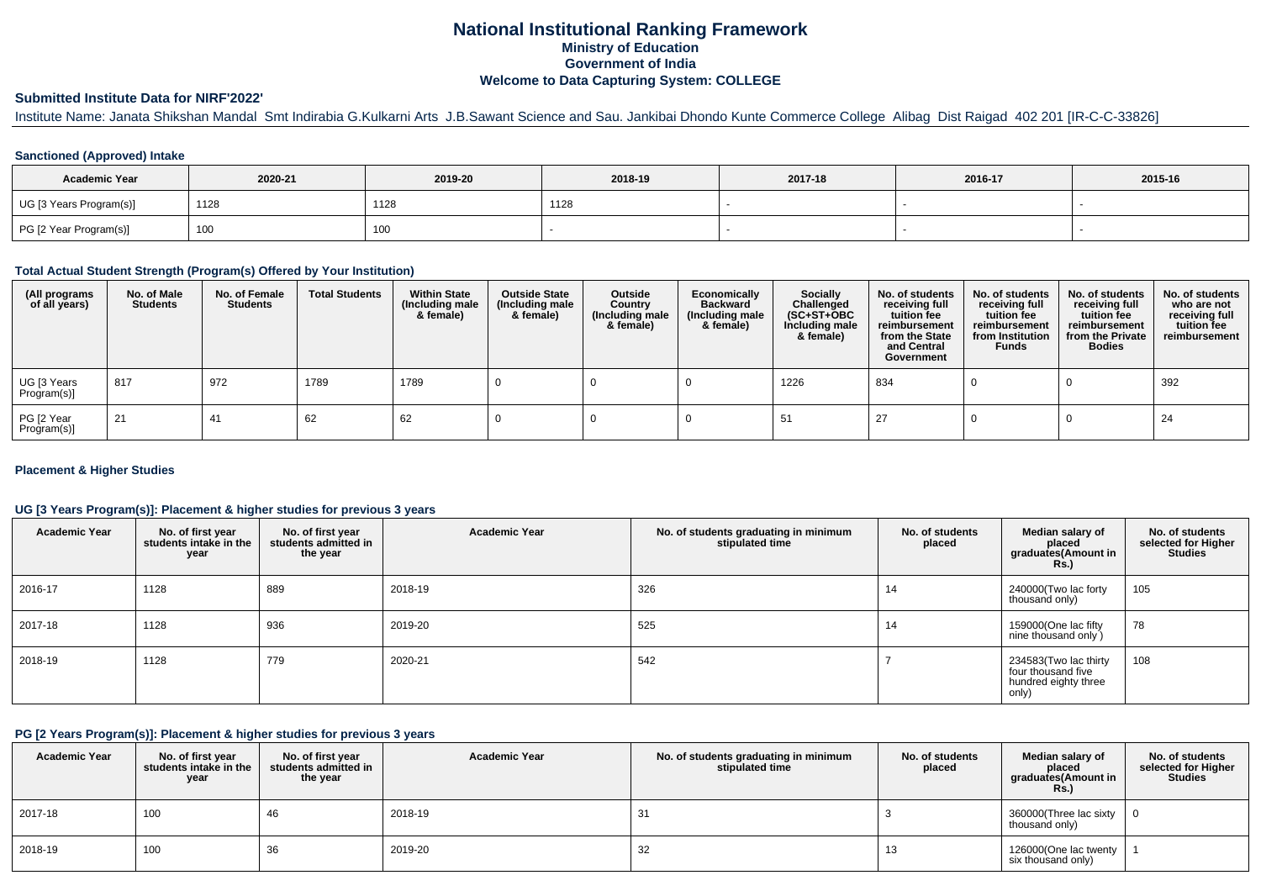## **National Institutional Ranking FrameworkMinistry of Education Government of IndiaWelcome to Data Capturing System: COLLEGE**

## **Submitted Institute Data for NIRF'2022'**

Institute Name: Janata Shikshan Mandal Smt Indirabia G.Kulkarni Arts J.B.Sawant Science and Sau. Jankibai Dhondo Kunte Commerce College Alibag Dist Raigad 402 201 [IR-C-C-33826]

## **Sanctioned (Approved) Intake**

| <b>Academic Year</b>    | 2020-21           | 2019-20 | 2018-19 | 2017-18 | 2016-17 | 2015-16 |
|-------------------------|-------------------|---------|---------|---------|---------|---------|
| UG [3 Years Program(s)] | 1128              | 1128    | 1128    |         |         |         |
| PG [2 Year Program(s)]  | 100<br><b>IUU</b> | 100     |         |         |         |         |

### **Total Actual Student Strength (Program(s) Offered by Your Institution)**

| (All programs<br>of all years) | No. of Male<br><b>Students</b> | No. of Female<br><b>Students</b> | <b>Total Students</b> | <b>Within State</b><br>(Including male<br>& female) | <b>Outside State</b><br>(Including male<br>& female) | Outside<br>Country<br>(Including male<br>& female) | Economically<br><b>Backward</b><br>(Including male<br>& female) | Socially<br>Challenged<br>$(SC+ST+OBC)$<br>Including male<br>& female) | No. of students<br>receiving full<br>tuition fee<br>reimbursement<br>from the State<br>and Central<br>Government | No. of students<br>receiving full<br>tuition fee<br>reimbursement<br>from Institution<br><b>Funds</b> | No. of students<br>receiving full<br>tuition fee<br>reimbursement<br>from the Private<br><b>Bodies</b> | No. of students<br>who are not<br>receiving full<br>tuition fee<br>reimbursement |
|--------------------------------|--------------------------------|----------------------------------|-----------------------|-----------------------------------------------------|------------------------------------------------------|----------------------------------------------------|-----------------------------------------------------------------|------------------------------------------------------------------------|------------------------------------------------------------------------------------------------------------------|-------------------------------------------------------------------------------------------------------|--------------------------------------------------------------------------------------------------------|----------------------------------------------------------------------------------|
| UG [3 Years<br>Program(s)]     | 817                            | 972                              | 1789                  | 1789                                                |                                                      |                                                    |                                                                 | 1226                                                                   | 834                                                                                                              |                                                                                                       |                                                                                                        | 392                                                                              |
| PG [2 Year<br>Program(s)]      | $\sqrt{21}$                    | 41                               | 62                    | 62                                                  |                                                      |                                                    |                                                                 | 51                                                                     | -27                                                                                                              |                                                                                                       |                                                                                                        | 24                                                                               |

## **Placement & Higher Studies**

## **UG [3 Years Program(s)]: Placement & higher studies for previous 3 years**

| <b>Academic Year</b> | No. of first year<br>students intake in the<br>year | No. of first year<br>students admitted in<br>the year | <b>Academic Year</b> | No. of students graduating in minimum<br>stipulated time | No. of students<br>placed | Median salary of<br>placed<br>graduates(Amount in<br><b>Rs.</b> )            | No. of students<br>selected for Higher<br><b>Studies</b> |
|----------------------|-----------------------------------------------------|-------------------------------------------------------|----------------------|----------------------------------------------------------|---------------------------|------------------------------------------------------------------------------|----------------------------------------------------------|
| 2016-17              | 1128                                                | 889                                                   | 2018-19              | 326                                                      | 14                        | 240000(Two lac forty<br>thousand only)                                       | 105                                                      |
| 2017-18              | 1128                                                | 936                                                   | 2019-20              | 525                                                      | 14                        | 159000(One lac fifty<br>nine thousand only)                                  | 78                                                       |
| 2018-19              | 1128                                                | 779                                                   | 2020-21              | 542                                                      |                           | 234583(Two lac thirty<br>four thousand five<br>hundred eighty three<br>only) | 108                                                      |

#### **PG [2 Years Program(s)]: Placement & higher studies for previous 3 years**

| <b>Academic Year</b> | No. of first year<br>students intake in the<br>year | No. of first year<br>students admitted in<br>the year | <b>Academic Year</b> | No. of students graduating in minimum<br>stipulated time | No. of students<br>placed | Median salary of<br>placed<br>graduates(Amount in<br><b>Rs.)</b> | No. of students<br>selected for Higher<br><b>Studies</b> |
|----------------------|-----------------------------------------------------|-------------------------------------------------------|----------------------|----------------------------------------------------------|---------------------------|------------------------------------------------------------------|----------------------------------------------------------|
| 2017-18              | 100                                                 | 46                                                    | 2018-19              | 31                                                       |                           | 360000(Three lac sixty<br>thousand only)                         |                                                          |
| 2018-19              | 100                                                 | 36                                                    | 2019-20              | 32                                                       | 13                        | 126000(One lac twenty<br>six thousand only)                      |                                                          |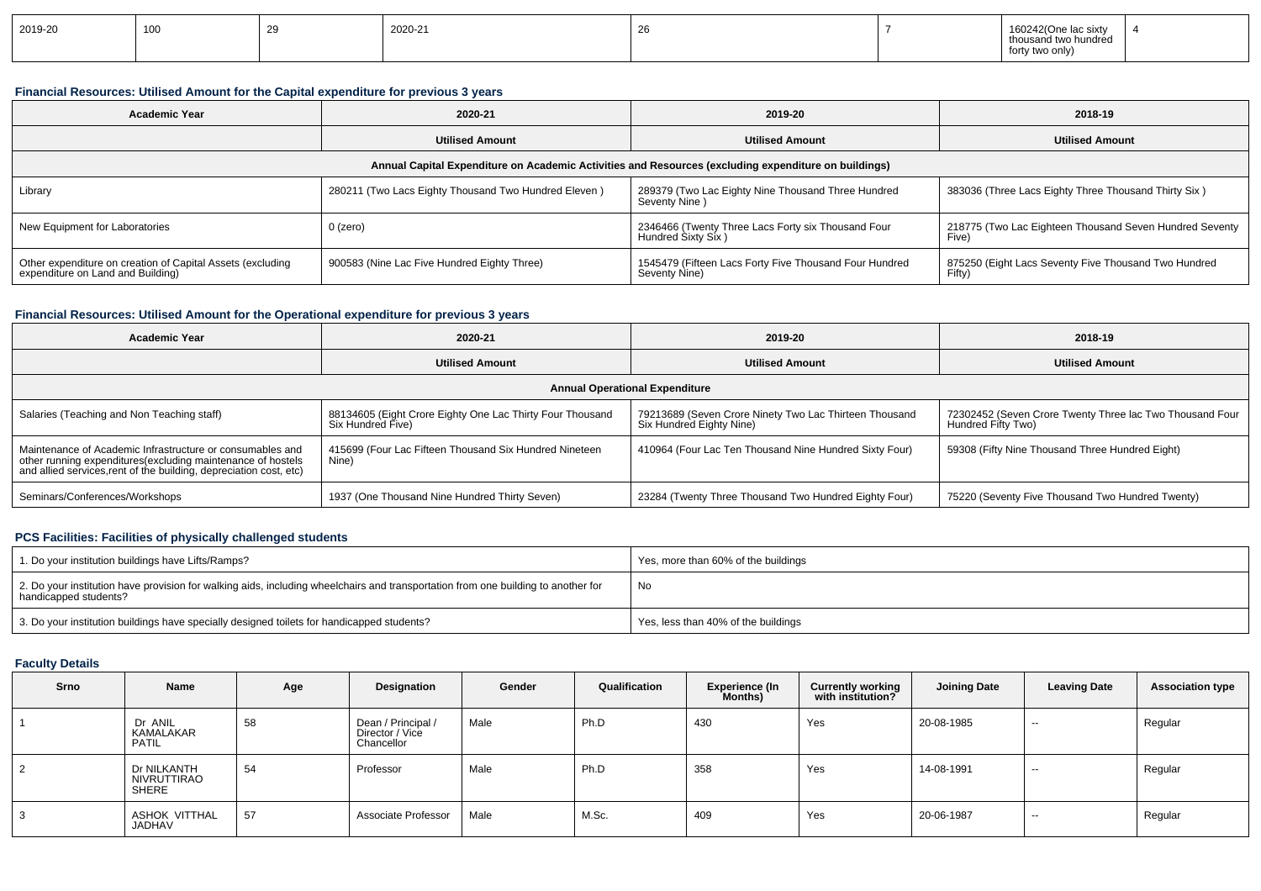| 2019-20 | 100 | -- | 2020-21 | c, |  | 160242(One lac sixty<br>thousand two hundred<br>forty two only) |  |
|---------|-----|----|---------|----|--|-----------------------------------------------------------------|--|
|---------|-----|----|---------|----|--|-----------------------------------------------------------------|--|

## **Financial Resources: Utilised Amount for the Capital expenditure for previous 3 years**

| <b>Academic Year</b>                                                                            | 2020-21                                              | 2019-20                                                                                              | 2018-19                                                          |
|-------------------------------------------------------------------------------------------------|------------------------------------------------------|------------------------------------------------------------------------------------------------------|------------------------------------------------------------------|
|                                                                                                 | <b>Utilised Amount</b>                               | <b>Utilised Amount</b>                                                                               | <b>Utilised Amount</b>                                           |
|                                                                                                 |                                                      | Annual Capital Expenditure on Academic Activities and Resources (excluding expenditure on buildings) |                                                                  |
| Library                                                                                         | 280211 (Two Lacs Eighty Thousand Two Hundred Eleven) | 289379 (Two Lac Eighty Nine Thousand Three Hundred<br>Seventy Nine)                                  | 383036 (Three Lacs Eighty Three Thousand Thirty Six)             |
| New Equipment for Laboratories                                                                  | 0 (zero)                                             | 2346466 (Twenty Three Lacs Forty six Thousand Four<br>Hundred Sixty Six)                             | 218775 (Two Lac Eighteen Thousand Seven Hundred Seventy<br>Five) |
| Other expenditure on creation of Capital Assets (excluding<br>expenditure on Land and Building) | 900583 (Nine Lac Five Hundred Eighty Three)          | 1545479 (Fifteen Lacs Forty Five Thousand Four Hundred<br>Seventy Nine)                              | 875250 (Eight Lacs Seventy Five Thousand Two Hundred<br>Fifty)   |

## **Financial Resources: Utilised Amount for the Operational expenditure for previous 3 years**

| <b>Academic Year</b>                                                                                                                                                                            | 2020-21                                                                        | 2019-20                                                                            | 2018-19                                                                        |
|-------------------------------------------------------------------------------------------------------------------------------------------------------------------------------------------------|--------------------------------------------------------------------------------|------------------------------------------------------------------------------------|--------------------------------------------------------------------------------|
|                                                                                                                                                                                                 | Utilised Amount                                                                | <b>Utilised Amount</b>                                                             | <b>Utilised Amount</b>                                                         |
|                                                                                                                                                                                                 |                                                                                | <b>Annual Operational Expenditure</b>                                              |                                                                                |
| Salaries (Teaching and Non Teaching staff)                                                                                                                                                      | 88134605 (Eight Crore Eighty One Lac Thirty Four Thousand<br>Six Hundred Five) | 79213689 (Seven Crore Ninety Two Lac Thirteen Thousand<br>Six Hundred Eighty Nine) | 72302452 (Seven Crore Twenty Three lac Two Thousand Four<br>Hundred Fifty Two) |
| Maintenance of Academic Infrastructure or consumables and<br>other running expenditures (excluding maintenance of hostels<br>and allied services, rent of the building, depreciation cost, etc) | 415699 (Four Lac Fifteen Thousand Six Hundred Nineteen<br>Nine)                | 410964 (Four Lac Ten Thousand Nine Hundred Sixty Four)                             | 59308 (Fifty Nine Thousand Three Hundred Eight)                                |
| Seminars/Conferences/Workshops                                                                                                                                                                  | 1937 (One Thousand Nine Hundred Thirty Seven)                                  | 23284 (Twenty Three Thousand Two Hundred Eighty Four)                              | 75220 (Seventy Five Thousand Two Hundred Twenty)                               |

## **PCS Facilities: Facilities of physically challenged students**

| 1. Do your institution buildings have Lifts/Ramps?                                                                                                         | Yes, more than 60% of the buildings |
|------------------------------------------------------------------------------------------------------------------------------------------------------------|-------------------------------------|
| 2. Do your institution have provision for walking aids, including wheelchairs and transportation from one building to another for<br>handicapped students? | No                                  |
| 3. Do your institution buildings have specially designed toilets for handicapped students?                                                                 | Yes, less than 40% of the buildings |

# **Faculty Details**

| Srno | Name                                 | Age | Designation                                         | Gender | Qualification | <b>Experience (In</b><br>Months) | <b>Currently working</b><br>with institution? | <b>Joining Date</b> | <b>Leaving Date</b> | <b>Association type</b> |
|------|--------------------------------------|-----|-----------------------------------------------------|--------|---------------|----------------------------------|-----------------------------------------------|---------------------|---------------------|-------------------------|
|      | Dr ANIL<br>KAMALAKAR<br><b>PATIL</b> | 58  | Dean / Principal /<br>Director / Vice<br>Chancellor | Male   | Ph.D          | 430                              | Yes                                           | 20-08-1985          | $-$                 | Regular                 |
|      | Dr NILKANTH<br>NIVRUTTIRAO<br>SHERE  | 54  | Professor                                           | Male   | Ph.D          | 358                              | Yes                                           | 14-08-1991          | $-$                 | Regular                 |
|      | ASHOK VITTHAL<br>JADHAV              | 57  | Associate Professor                                 | Male   | M.Sc.         | 409                              | Yes                                           | 20-06-1987          | $-$                 | Regular                 |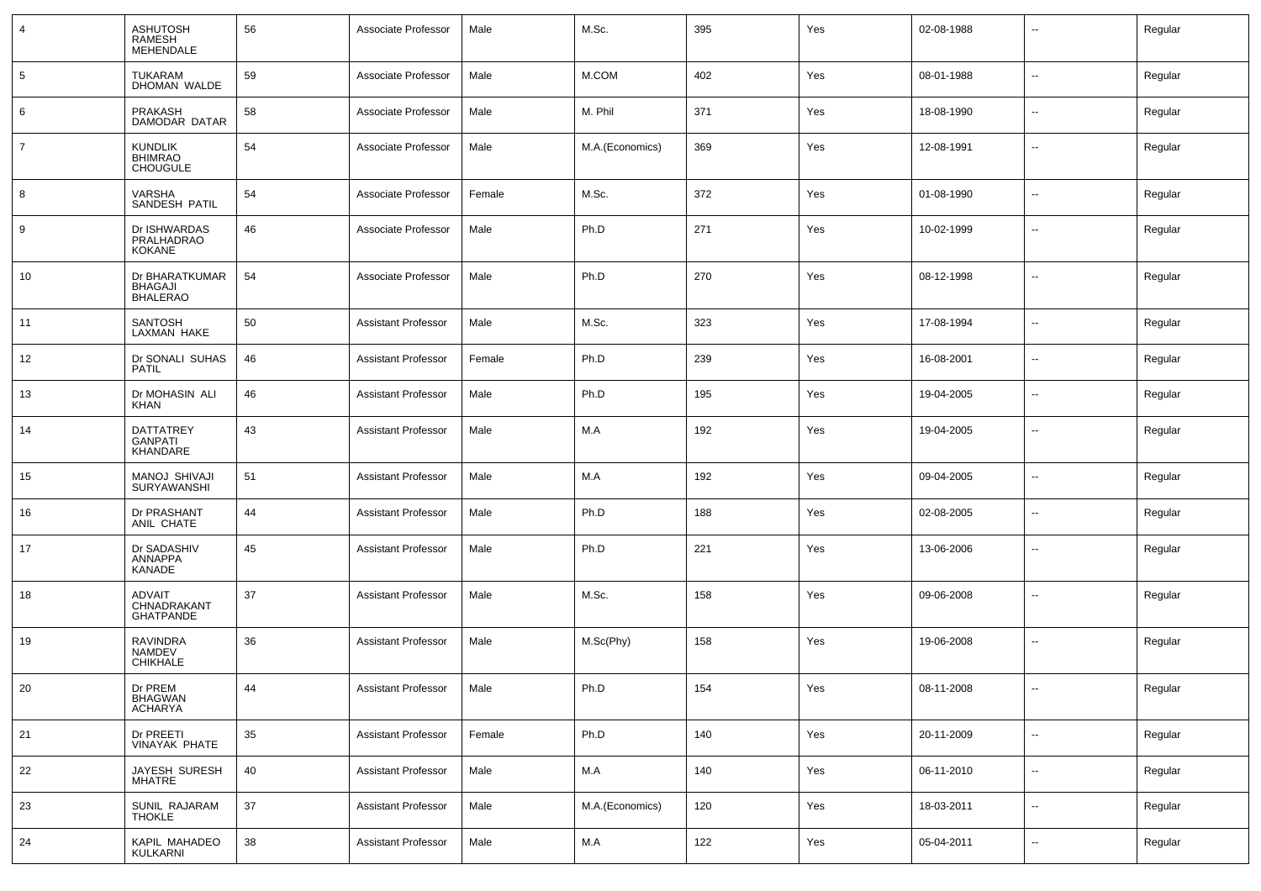| $\overline{4}$ | <b>ASHUTOSH</b><br><b>RAMESH</b><br>MEHENDALE       | 56     | Associate Professor        | Male   | M.Sc.           | 395 | Yes | 02-08-1988 | $\overline{\phantom{a}}$ | Regular |
|----------------|-----------------------------------------------------|--------|----------------------------|--------|-----------------|-----|-----|------------|--------------------------|---------|
| 5              | <b>TUKARAM</b><br>DHOMAN WALDE                      | 59     | Associate Professor        | Male   | M.COM           | 402 | Yes | 08-01-1988 | $\overline{\phantom{a}}$ | Regular |
| 6              | <b>PRAKASH</b><br>DAMODAR DATAR                     | 58     | Associate Professor        | Male   | M. Phil         | 371 | Yes | 18-08-1990 | --                       | Regular |
| $\overline{7}$ | <b>KUNDLIK</b><br><b>BHIMRAO</b><br><b>CHOUGULE</b> | 54     | Associate Professor        | Male   | M.A.(Economics) | 369 | Yes | 12-08-1991 | --                       | Regular |
| 8              | VARSHA<br>SANDESH PATIL                             | 54     | Associate Professor        | Female | M.Sc.           | 372 | Yes | 01-08-1990 | $\sim$                   | Regular |
| 9              | Dr ISHWARDAS<br>PRALHADRAO<br><b>KOKANE</b>         | 46     | Associate Professor        | Male   | Ph.D            | 271 | Yes | 10-02-1999 | $\sim$                   | Regular |
| 10             | Dr BHARATKUMAR<br><b>BHAGAJI</b><br><b>BHALERAO</b> | 54     | Associate Professor        | Male   | Ph.D            | 270 | Yes | 08-12-1998 | --                       | Regular |
| 11             | <b>SANTOSH</b><br>LAXMAN HAKE                       | 50     | <b>Assistant Professor</b> | Male   | M.Sc.           | 323 | Yes | 17-08-1994 | --                       | Regular |
| 12             | Dr SONALI SUHAS<br><b>PATIL</b>                     | 46     | <b>Assistant Professor</b> | Female | Ph.D            | 239 | Yes | 16-08-2001 | --                       | Regular |
| 13             | Dr MOHASIN ALI<br>KHAN                              | 46     | <b>Assistant Professor</b> | Male   | Ph.D            | 195 | Yes | 19-04-2005 | --                       | Regular |
| 14             | <b>DATTATREY</b><br><b>GANPATI</b><br>KHANDARE      | 43     | <b>Assistant Professor</b> | Male   | M.A             | 192 | Yes | 19-04-2005 | --                       | Regular |
| 15             | MANOJ SHIVAJI<br>SURYAWANSHI                        | 51     | <b>Assistant Professor</b> | Male   | M.A             | 192 | Yes | 09-04-2005 | $\overline{\phantom{a}}$ | Regular |
| 16             | Dr PRASHANT<br>ANIL CHATE                           | 44     | <b>Assistant Professor</b> | Male   | Ph.D            | 188 | Yes | 02-08-2005 | ⊶.                       | Regular |
| 17             | Dr SADASHIV<br><b>ANNAPPA</b><br>KANADE             | 45     | <b>Assistant Professor</b> | Male   | Ph.D            | 221 | Yes | 13-06-2006 | $\overline{\phantom{a}}$ | Regular |
| 18             | ADVAIT<br>CHNADRAKANT<br><b>GHATPANDE</b>           | 37     | <b>Assistant Professor</b> | Male   | M.Sc.           | 158 | Yes | 09-06-2008 | -−                       | Regular |
| 19             | <b>RAVINDRA</b><br><b>NAMDEV</b><br><b>CHIKHALE</b> | 36     | <b>Assistant Professor</b> | Male   | M.Sc(Phy)       | 158 | Yes | 19-06-2008 | $\overline{\phantom{a}}$ | Regular |
| 20             | Dr PREM<br>BHAGWAN<br>ACHARYA                       | 44     | <b>Assistant Professor</b> | Male   | Ph.D            | 154 | Yes | 08-11-2008 |                          | Regular |
| 21             | Dr PREETI<br><b>VINAYAK PHATE</b>                   | 35     | <b>Assistant Professor</b> | Female | Ph.D            | 140 | Yes | 20-11-2009 | ш.                       | Regular |
| 22             | JAYESH SURESH<br>MHATRE                             | 40     | <b>Assistant Professor</b> | Male   | ${\sf M.A}$     | 140 | Yes | 06-11-2010 | $\overline{\phantom{a}}$ | Regular |
| 23             | SUNIL RAJARAM<br><b>THOKLE</b>                      | 37     | <b>Assistant Professor</b> | Male   | M.A.(Economics) | 120 | Yes | 18-03-2011 | $\sim$                   | Regular |
| 24             | KAPIL MAHADEO<br>KULKARNI                           | $38\,$ | <b>Assistant Professor</b> | Male   | ${\sf M.A}$     | 122 | Yes | 05-04-2011 | ⊷                        | Regular |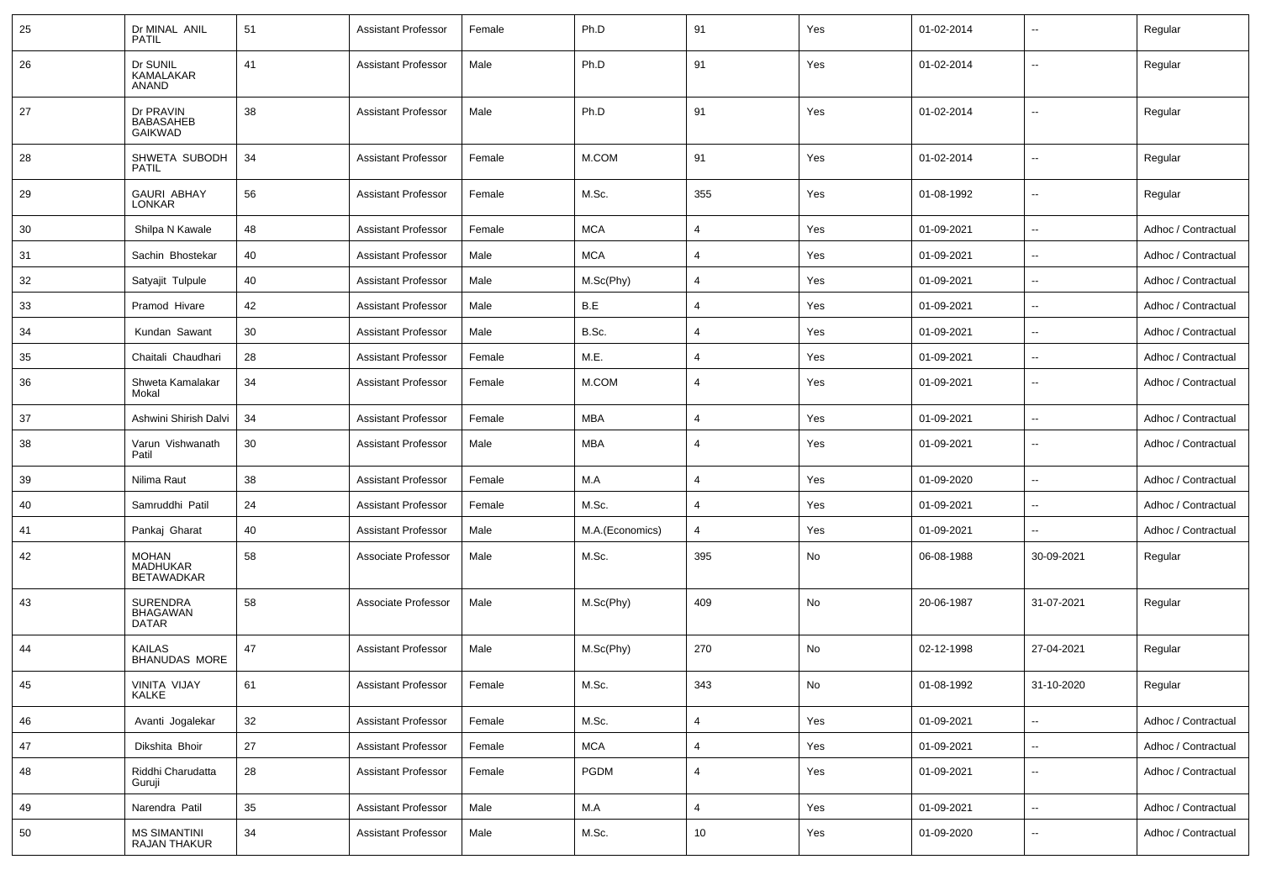| 25 | Dr MINAL ANIL<br>PATIL                             | 51 | <b>Assistant Professor</b> | Female | Ph.D            | 91             | Yes | 01-02-2014 | --                       | Regular             |
|----|----------------------------------------------------|----|----------------------------|--------|-----------------|----------------|-----|------------|--------------------------|---------------------|
| 26 | Dr SUNIL<br>KAMALAKAR<br><b>ANAND</b>              | 41 | <b>Assistant Professor</b> | Male   | Ph.D            | 91             | Yes | 01-02-2014 | --                       | Regular             |
| 27 | Dr PRAVIN<br><b>BABASAHEB</b><br><b>GAIKWAD</b>    | 38 | <b>Assistant Professor</b> | Male   | Ph.D            | 91             | Yes | 01-02-2014 | $\overline{\phantom{a}}$ | Regular             |
| 28 | SHWETA SUBODH<br><b>PATIL</b>                      | 34 | Assistant Professor        | Female | M.COM           | 91             | Yes | 01-02-2014 | $\overline{\phantom{a}}$ | Regular             |
| 29 | <b>GAURI ABHAY</b><br>LONKAR                       | 56 | <b>Assistant Professor</b> | Female | M.Sc.           | 355            | Yes | 01-08-1992 | $\overline{\phantom{a}}$ | Regular             |
| 30 | Shilpa N Kawale                                    | 48 | <b>Assistant Professor</b> | Female | <b>MCA</b>      | $\overline{4}$ | Yes | 01-09-2021 | $\overline{\phantom{a}}$ | Adhoc / Contractual |
| 31 | Sachin Bhostekar                                   | 40 | <b>Assistant Professor</b> | Male   | <b>MCA</b>      | $\overline{4}$ | Yes | 01-09-2021 | Ξ.                       | Adhoc / Contractual |
| 32 | Satyajit Tulpule                                   | 40 | <b>Assistant Professor</b> | Male   | M.Sc(Phy)       | $\overline{4}$ | Yes | 01-09-2021 | $\overline{\phantom{a}}$ | Adhoc / Contractual |
| 33 | Pramod Hivare                                      | 42 | <b>Assistant Professor</b> | Male   | B.E             | $\overline{4}$ | Yes | 01-09-2021 | $\overline{\phantom{a}}$ | Adhoc / Contractual |
| 34 | Kundan Sawant                                      | 30 | Assistant Professor        | Male   | B.Sc.           | $\overline{4}$ | Yes | 01-09-2021 | $\overline{\phantom{a}}$ | Adhoc / Contractual |
| 35 | Chaitali Chaudhari                                 | 28 | <b>Assistant Professor</b> | Female | M.E.            | $\overline{4}$ | Yes | 01-09-2021 | --                       | Adhoc / Contractual |
| 36 | Shweta Kamalakar<br>Mokal                          | 34 | <b>Assistant Professor</b> | Female | M.COM           | $\overline{4}$ | Yes | 01-09-2021 | --                       | Adhoc / Contractual |
| 37 | Ashwini Shirish Dalvi                              | 34 | <b>Assistant Professor</b> | Female | <b>MBA</b>      | $\overline{4}$ | Yes | 01-09-2021 | Ξ.                       | Adhoc / Contractual |
| 38 | Varun Vishwanath<br>Patil                          | 30 | <b>Assistant Professor</b> | Male   | MBA             | $\overline{4}$ | Yes | 01-09-2021 | $\mathbf{u}$             | Adhoc / Contractual |
| 39 | Nilima Raut                                        | 38 | <b>Assistant Professor</b> | Female | M.A             | 4              | Yes | 01-09-2020 | $\mathbf{u}$             | Adhoc / Contractual |
| 40 | Samruddhi Patil                                    | 24 | <b>Assistant Professor</b> | Female | M.Sc.           | $\overline{4}$ | Yes | 01-09-2021 | $\overline{\phantom{a}}$ | Adhoc / Contractual |
| 41 | Pankaj Gharat                                      | 40 | <b>Assistant Professor</b> | Male   | M.A.(Economics) | $\overline{4}$ | Yes | 01-09-2021 | $\overline{\phantom{a}}$ | Adhoc / Contractual |
| 42 | MOHAN<br><b>MADHUKAR</b><br><b>BETAWADKAR</b>      | 58 | Associate Professor        | Male   | M.Sc.           | 395            | No  | 06-08-1988 | 30-09-2021               | Regular             |
| 43 | <b>SURENDRA</b><br><b>BHAGAWAN</b><br><b>DATAR</b> | 58 | Associate Professor        | Male   | M.Sc(Phy)       | 409            | No  | 20-06-1987 | 31-07-2021               | Regular             |
| 44 | <b>KAILAS</b><br><b>BHANUDAS MORE</b>              | 47 | <b>Assistant Professor</b> | Male   | M.Sc(Phy)       | 270            | No  | 02-12-1998 | 27-04-2021               | Regular             |
| 45 | VINITA VIJAY<br>KALKE                              | 61 | Assistant Professor        | Female | M.Sc.           | 343            | No  | 01-08-1992 | 31-10-2020               | Regular             |
| 46 | Avanti Jogalekar                                   | 32 | <b>Assistant Professor</b> | Female | M.Sc.           | $\overline{4}$ | Yes | 01-09-2021 | $\overline{\phantom{a}}$ | Adhoc / Contractual |
| 47 | Dikshita Bhoir                                     | 27 | <b>Assistant Professor</b> | Female | <b>MCA</b>      | 4              | Yes | 01-09-2021 | $\overline{\phantom{a}}$ | Adhoc / Contractual |
| 48 | Riddhi Charudatta<br>Guruji                        | 28 | <b>Assistant Professor</b> | Female | <b>PGDM</b>     | 4              | Yes | 01-09-2021 | Щ,                       | Adhoc / Contractual |
| 49 | Narendra Patil                                     | 35 | <b>Assistant Professor</b> | Male   | M.A             | $\overline{4}$ | Yes | 01-09-2021 | н.                       | Adhoc / Contractual |
| 50 | MS SIMANTINI<br>RAJAN THAKUR                       | 34 | <b>Assistant Professor</b> | Male   | M.Sc.           | 10             | Yes | 01-09-2020 | --                       | Adhoc / Contractual |